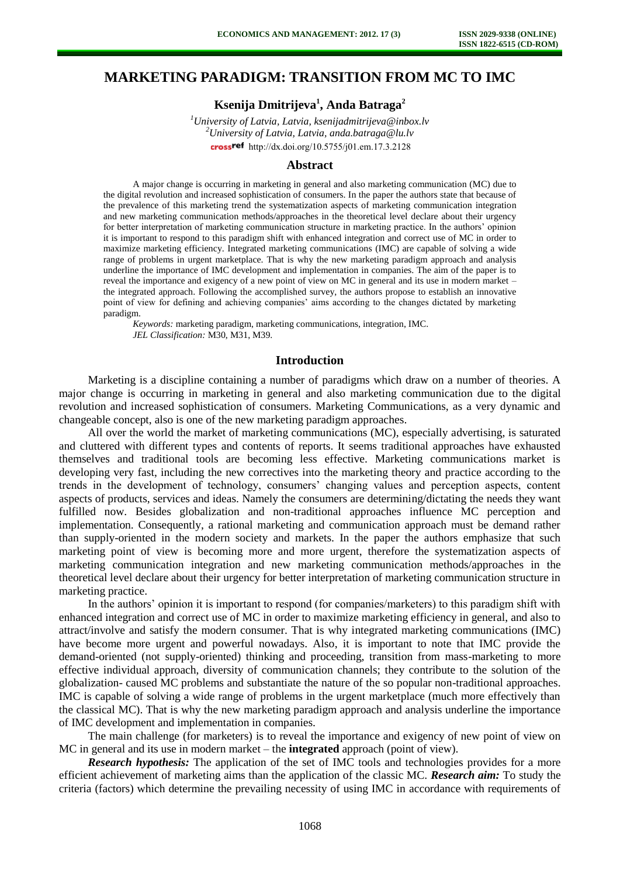# **MARKETING PARADIGM: TRANSITION FROM MC TO IMC**

## **Ksenija Dmitrijeva<sup>1</sup> , Anda Batraga<sup>2</sup>**

*<sup>1</sup>University of Latvia, Latvia, ksenijadmitrijeva@inbox.lv <sup>2</sup>University of Latvia, Latvia, anda.batraga@lu.lv*  crossref [http://dx.doi.org/10.5755/j01.e](http://dx.doi.org/10.5755/j01.em.17.3.2128)m.17.3.2128

#### **Abstract**

A major change is occurring in marketing in general and also marketing communication (MC) due to the digital revolution and increased sophistication of consumers. In the paper the authors state that because of the prevalence of this marketing trend the systematization aspects of marketing communication integration and new marketing communication methods/approaches in the theoretical level declare about their urgency for better interpretation of marketing communication structure in marketing practice. In the authors' opinion it is important to respond to this paradigm shift with enhanced integration and correct use of MC in order to maximize marketing efficiency. Integrated marketing communications (IMC) are capable of solving a wide range of problems in urgent marketplace. That is why the new marketing paradigm approach and analysis underline the importance of IMC development and implementation in companies. The aim of the paper is to reveal the importance and exigency of a new point of view on MC in general and its use in modern market – the integrated approach. Following the accomplished survey, the authors propose to establish an innovative point of view for defining and achieving companies' aims according to the changes dictated by marketing paradigm.

*Keywords:* marketing paradigm, marketing communications, integration, IMC. *JEL Classification:* M30, M31, M39.

## **Introduction**

Marketing is a discipline containing a number of paradigms which draw on a number of theories. A major change is occurring in marketing in general and also marketing communication due to the digital revolution and increased sophistication of consumers. Marketing Communications, as a very dynamic and changeable concept, also is one of the new marketing paradigm approaches.

All over the world the market of marketing communications (MC), especially advertising, is saturated and cluttered with different types and contents of reports. It seems traditional approaches have exhausted themselves and traditional tools are becoming less effective. Marketing communications market is developing very fast, including the new correctives into the marketing theory and practice according to the trends in the development of technology, consumers' changing values and perception aspects, content aspects of products, services and ideas. Namely the consumers are determining/dictating the needs they want fulfilled now. Besides globalization and non-traditional approaches influence MC perception and implementation. Consequently, a rational marketing and communication approach must be demand rather than supply-oriented in the modern society and markets. In the paper the authors emphasize that such marketing point of view is becoming more and more urgent, therefore the systematization aspects of marketing communication integration and new marketing communication methods/approaches in the theoretical level declare about their urgency for better interpretation of marketing communication structure in marketing practice.

In the authors' opinion it is important to respond (for companies/marketers) to this paradigm shift with enhanced integration and correct use of MC in order to maximize marketing efficiency in general, and also to attract/involve and satisfy the modern consumer. That is why integrated marketing communications (IMC) have become more urgent and powerful nowadays. Also, it is important to note that IMC provide the demand-oriented (not supply-oriented) thinking and proceeding, transition from mass-marketing to more effective individual approach, diversity of communication channels; they contribute to the solution of the globalization- caused MC problems and substantiate the nature of the so popular non-traditional approaches. IMC is capable of solving a wide range of problems in the urgent marketplace (much more effectively than the classical MC). That is why the new marketing paradigm approach and analysis underline the importance of IMC development and implementation in companies.

The main challenge (for marketers) is to reveal the importance and exigency of new point of view on MC in general and its use in modern market – the **integrated** approach (point of view).

*Research hypothesis:* The application of the set of IMC tools and technologies provides for a more efficient achievement of marketing aims than the application of the classic MC. *Research aim:* To study the criteria (factors) which determine the prevailing necessity of using IMC in accordance with requirements of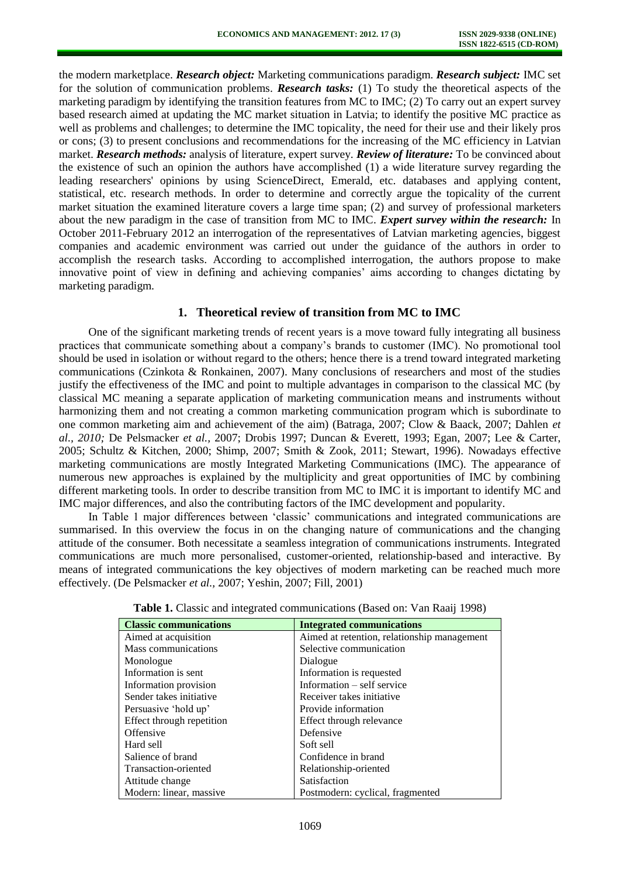the modern marketplace. *Research object:* Marketing communications paradigm. *Research subject:* IMC set for the solution of communication problems. *Research tasks:* (1) To study the theoretical aspects of the marketing paradigm by identifying the transition features from MC to IMC; (2) To carry out an expert survey based research aimed at updating the MC market situation in Latvia; to identify the positive MC practice as well as problems and challenges; to determine the IMC topicality, the need for their use and their likely pros or cons; (3) to present conclusions and recommendations for the increasing of the MC efficiency in Latvian market. *Research methods:* analysis of literature, expert survey. *Review of literature:* To be convinced about the existence of such an opinion the authors have accomplished (1) a wide literature survey regarding the leading researchers' opinions by using ScienceDirect, Emerald, etc. databases and applying content, statistical, etc. research methods. In order to determine and correctly argue the topicality of the current market situation the examined literature covers a large time span; (2) and survey of professional marketers about the new paradigm in the case of transition from MC to IMC. *Expert survey within the research:* In October 2011-February 2012 an interrogation of the representatives of Latvian marketing agencies, biggest companies and academic environment was carried out under the guidance of the authors in order to accomplish the research tasks. According to accomplished interrogation, the authors propose to make innovative point of view in defining and achieving companies' aims according to changes dictating by marketing paradigm.

#### **1. Theoretical review of transition from MC to IMC**

One of the significant marketing trends of recent years is a move toward fully integrating all business practices that communicate something about a company's brands to customer (IMC). No promotional tool should be used in isolation or without regard to the others; hence there is a trend toward integrated marketing communications (Czinkota & Ronkainen, 2007). Many conclusions of researchers and most of the studies justify the effectiveness of the IMC and point to multiple advantages in comparison to the classical MC (by classical MC meaning a separate application of marketing communication means and instruments without harmonizing them and not creating a common marketing communication program which is subordinate to one common marketing aim and achievement of the aim) (Batraga, 2007; Clow & Baack, 2007; Dahlen *et al., 2010;* De Pelsmacker *et al.,* 2007; Drobis 1997; Duncan & Everett, 1993; Egan, 2007; Lee & Carter, 2005; Schultz & Kitchen, 2000; Shimp, 2007; Smith & Zook, 2011; Stewart, 1996). Nowadays effective marketing communications are mostly Integrated Marketing Communications (IMC). The appearance of numerous new approaches is explained by the multiplicity and great opportunities of IMC by combining different marketing tools. In order to describe transition from MC to IMC it is important to identify MC and IMC major differences, and also the contributing factors of the IMC development and popularity.

In Table 1 major differences between 'classic' communications and integrated communications are summarised. In this overview the focus in on the changing nature of communications and the changing attitude of the consumer. Both necessitate a seamless integration of communications instruments. Integrated communications are much more personalised, customer-oriented, relationship-based and interactive. By means of integrated communications the key objectives of modern marketing can be reached much more effectively. (De Pelsmacker *et al.,* 2007; Yeshin, 2007; Fill, 2001)

| <b>Classic communications</b> | <b>Integrated communications</b>            |
|-------------------------------|---------------------------------------------|
| Aimed at acquisition          | Aimed at retention, relationship management |
| Mass communications           | Selective communication                     |
| Monologue                     | Dialogue                                    |
| Information is sent.          | Information is requested                    |
| Information provision         | Information – self service                  |
| Sender takes initiative       | Receiver takes initiative                   |
| Persuasive 'hold up'          | Provide information                         |
| Effect through repetition     | Effect through relevance                    |
| Offensive                     | Defensive                                   |
| Hard sell                     | Soft sell                                   |
| Salience of brand             | Confidence in brand                         |
| Transaction-oriented          | Relationship-oriented                       |
| Attitude change               | Satisfaction                                |
| Modern: linear, massive       | Postmodern: cyclical, fragmented            |

**Table 1.** Classic and integrated communications (Based on: Van Raaij 1998)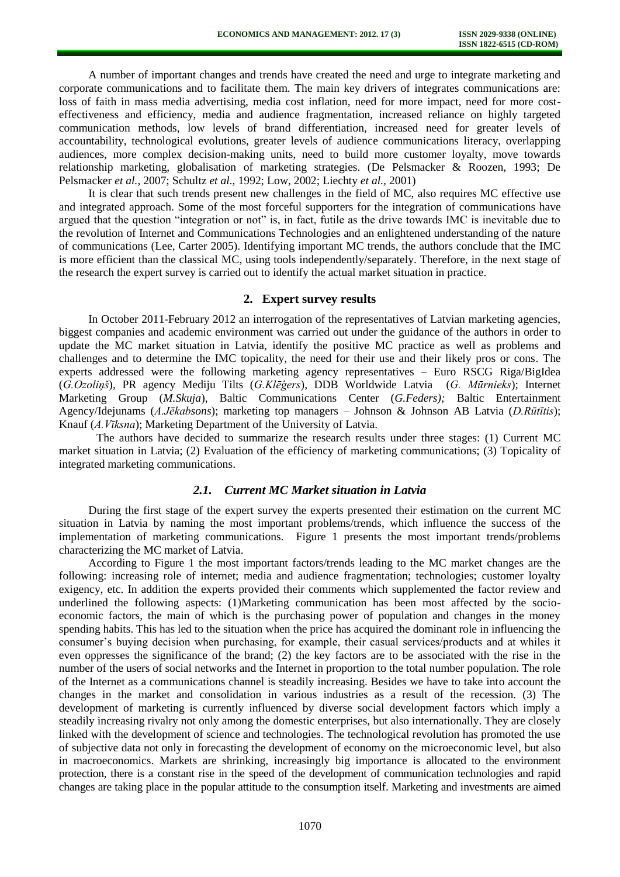A number of important changes and trends have created the need and urge to integrate marketing and corporate communications and to facilitate them. The main key drivers of integrates communications are: loss of faith in mass media advertising, media cost inflation, need for more impact, need for more costeffectiveness and efficiency, media and audience fragmentation, increased reliance on highly targeted communication methods, low levels of brand differentiation, increased need for greater levels of accountability, technological evolutions, greater levels of audience communications literacy, overlapping audiences, more complex decision-making units, need to build more customer loyalty, move towards relationship marketing, globalisation of marketing strategies. (De Pelsmacker & Roozen, 1993; De Pelsmacker *et al.,* 2007; Schultz *et al.,* 1992; Low, 2002; Liechty *et al.,* 2001)

It is clear that such trends present new challenges in the field of MC, also requires MC effective use and integrated approach. Some of the most forceful supporters for the integration of communications have argued that the question "integration or not" is, in fact, futile as the drive towards IMC is inevitable due to the revolution of Internet and Communications Technologies and an enlightened understanding of the nature of communications (Lee, Carter 2005). Identifying important MC trends, the authors conclude that the IMC is more efficient than the classical MC, using tools independently/separately. Therefore, in the next stage of the research the expert survey is carried out to identify the actual market situation in practice.

#### **2. Expert survey results**

In October 2011-February 2012 an interrogation of the representatives of Latvian marketing agencies, biggest companies and academic environment was carried out under the guidance of the authors in order to update the MC market situation in Latvia, identify the positive MC practice as well as problems and challenges and to determine the IMC topicality, the need for their use and their likely pros or cons. The experts addressed were the following marketing agency representatives – Euro RSCG Riga/BigIdea (*G.Ozoliņš*), PR agency Mediju Tilts (*G.Klēģers*), DDB Worldwide Latvia (*G. Mūrnieks*); Internet Marketing Group (*M.Skuja*), Baltic Communications Center (*G.Feders);* Baltic Entertainment Agency/Idejunams (*A.Jēkabsons*); marketing top managers – Johnson & Johnson AB Latvia (*D.Rūtītis*); Knauf (*A.Vīksna*); Marketing Department of the University of Latvia.

The authors have decided to summarize the research results under three stages: (1) Current MC market situation in Latvia; (2) Evaluation of the efficiency of marketing communications; (3) Topicality of integrated marketing communications.

#### *2.1. Current MC Market situation in Latvia*

During the first stage of the expert survey the experts presented their estimation on the current MC situation in Latvia by naming the most important problems/trends, which influence the success of the implementation of marketing communications. Figure 1 presents the most important trends/problems characterizing the MC market of Latvia.

According to Figure 1 the most important factors/trends leading to the MC market changes are the following: increasing role of internet; media and audience fragmentation; technologies; customer loyalty exigency, etc. In addition the experts provided their comments which supplemented the factor review and underlined the following aspects: (1)Marketing communication has been most affected by the socioeconomic factors, the main of which is the purchasing power of population and changes in the money spending habits. This has led to the situation when the price has acquired the dominant role in influencing the consumer's buying decision when purchasing, for example, their casual services/products and at whiles it even oppresses the significance of the brand; (2) the key factors are to be associated with the rise in the number of the users of social networks and the Internet in proportion to the total number population. The role of the Internet as a communications channel is steadily increasing. Besides we have to take into account the changes in the market and consolidation in various industries as a result of the recession. (3) The development of marketing is currently influenced by diverse social development factors which imply a steadily increasing rivalry not only among the domestic enterprises, but also internationally. They are closely linked with the development of science and technologies. The technological revolution has promoted the use of subjective data not only in forecasting the development of economy on the microeconomic level, but also in macroeconomics. Markets are shrinking, increasingly big importance is allocated to the environment protection, there is a constant rise in the speed of the development of communication technologies and rapid changes are taking place in the popular attitude to the consumption itself. Marketing and investments are aimed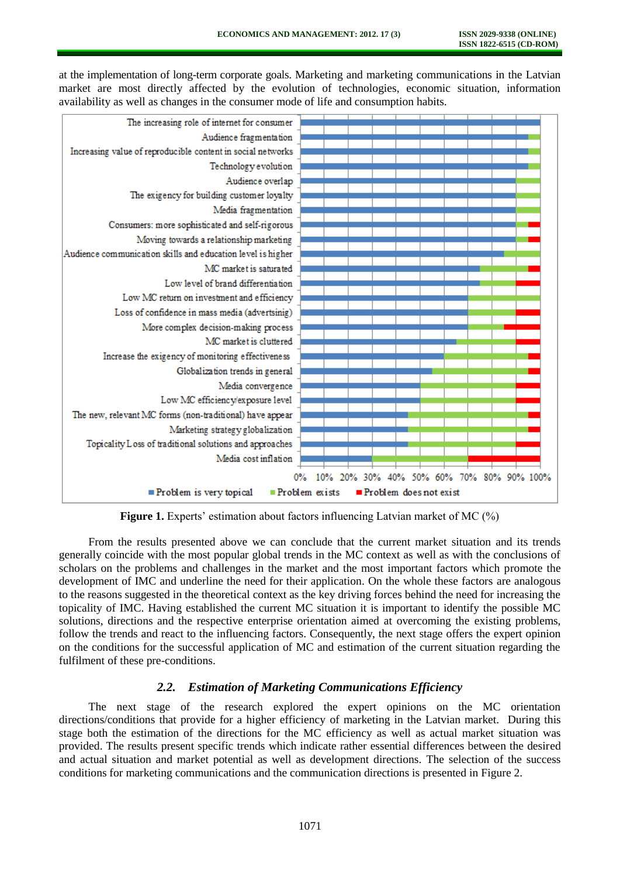at the implementation of long-term corporate goals. Marketing and marketing communications in the Latvian market are most directly affected by the evolution of technologies, economic situation, information availability as well as changes in the consumer mode of life and consumption habits.



**Figure 1.** Experts' estimation about factors influencing Latvian market of MC (%)

From the results presented above we can conclude that the current market situation and its trends generally coincide with the most popular global trends in the MC context as well as with the conclusions of scholars on the problems and challenges in the market and the most important factors which promote the development of IMC and underline the need for their application. On the whole these factors are analogous to the reasons suggested in the theoretical context as the key driving forces behind the need for increasing the topicality of IMC. Having established the current MC situation it is important to identify the possible MC solutions, directions and the respective enterprise orientation aimed at overcoming the existing problems, follow the trends and react to the influencing factors. Consequently, the next stage offers the expert opinion on the conditions for the successful application of MC and estimation of the current situation regarding the fulfilment of these pre-conditions.

## *2.2. Estimation of Marketing Communications Efficiency*

The next stage of the research explored the expert opinions on the MC orientation directions/conditions that provide for a higher efficiency of marketing in the Latvian market. During this stage both the estimation of the directions for the MC efficiency as well as actual market situation was provided. The results present specific trends which indicate rather essential differences between the desired and actual situation and market potential as well as development directions. The selection of the success conditions for marketing communications and the communication directions is presented in Figure 2.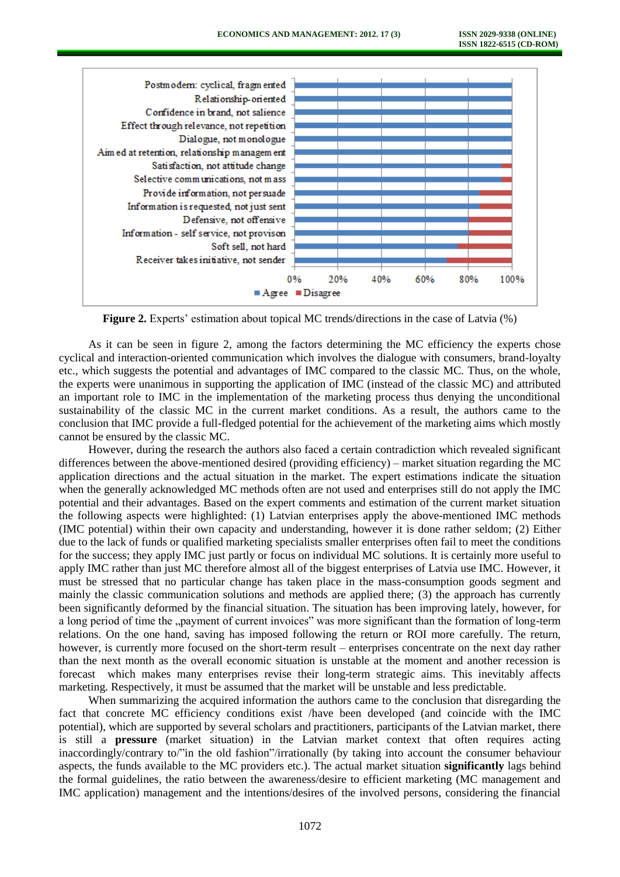

**Figure 2.** Experts' estimation about topical MC trends/directions in the case of Latvia (%)

As it can be seen in figure 2, among the factors determining the MC efficiency the experts chose cyclical and interaction-oriented communication which involves the dialogue with consumers, brand-loyalty etc., which suggests the potential and advantages of IMC compared to the classic MC. Thus, on the whole, the experts were unanimous in supporting the application of IMC (instead of the classic MC) and attributed an important role to IMC in the implementation of the marketing process thus denying the unconditional sustainability of the classic MC in the current market conditions. As a result, the authors came to the conclusion that IMC provide a full-fledged potential for the achievement of the marketing aims which mostly cannot be ensured by the classic MC.

However, during the research the authors also faced a certain contradiction which revealed significant differences between the above-mentioned desired (providing efficiency) – market situation regarding the MC application directions and the actual situation in the market. The expert estimations indicate the situation when the generally acknowledged MC methods often are not used and enterprises still do not apply the IMC potential and their advantages. Based on the expert comments and estimation of the current market situation the following aspects were highlighted: (1) Latvian enterprises apply the above-mentioned IMC methods (IMC potential) within their own capacity and understanding, however it is done rather seldom; (2) Either due to the lack of funds or qualified marketing specialists smaller enterprises often fail to meet the conditions for the success; they apply IMC just partly or focus on individual MC solutions. It is certainly more useful to apply IMC rather than just MC therefore almost all of the biggest enterprises of Latvia use IMC. However, it must be stressed that no particular change has taken place in the mass-consumption goods segment and mainly the classic communication solutions and methods are applied there; (3) the approach has currently been significantly deformed by the financial situation. The situation has been improving lately, however, for a long period of time the "payment of current invoices" was more significant than the formation of long-term relations. On the one hand, saving has imposed following the return or ROI more carefully. The return, however, is currently more focused on the short-term result – enterprises concentrate on the next day rather than the next month as the overall economic situation is unstable at the moment and another recession is forecast which makes many enterprises revise their long-term strategic aims. This inevitably affects marketing. Respectively, it must be assumed that the market will be unstable and less predictable.

When summarizing the acquired information the authors came to the conclusion that disregarding the fact that concrete MC efficiency conditions exist /have been developed (and coincide with the IMC potential), which are supported by several scholars and practitioners, participants of the Latvian market, there is still a **pressure** (market situation) in the Latvian market context that often requires acting inaccordingly/contrary to/"in the old fashion"/irrationally (by taking into account the consumer behaviour aspects, the funds available to the MC providers etc.). The actual market situation **significantly** lags behind the formal guidelines, the ratio between the awareness/desire to efficient marketing (MC management and IMC application) management and the intentions/desires of the involved persons, considering the financial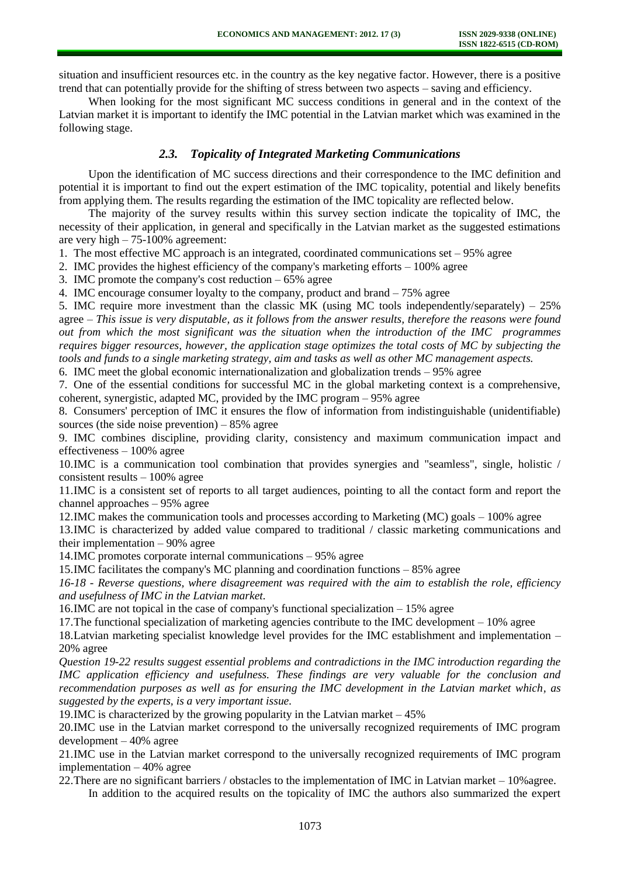situation and insufficient resources etc. in the country as the key negative factor. However, there is a positive trend that can potentially provide for the shifting of stress between two aspects – saving and efficiency.

When looking for the most significant MC success conditions in general and in the context of the Latvian market it is important to identify the IMC potential in the Latvian market which was examined in the following stage.

### *2.3. Topicality of Integrated Marketing Communications*

Upon the identification of MC success directions and their correspondence to the IMC definition and potential it is important to find out the expert estimation of the IMC topicality, potential and likely benefits from applying them. The results regarding the estimation of the IMC topicality are reflected below.

The majority of the survey results within this survey section indicate the topicality of IMC, the necessity of their application, in general and specifically in the Latvian market as the suggested estimations are very high – 75-100% agreement:

1. The most effective MC approach is an integrated, coordinated communications set – 95% agree

2. IMC provides the highest efficiency of the company's marketing efforts – 100% agree

3. IMC promote the company's cost reduction – 65% agree

4. IMC encourage consumer loyalty to the company, product and brand – 75% agree

5. IMC require more investment than the classic MK (using MC tools independently/separately) – 25% agree – *This issue is very disputable, as it follows from the answer results, therefore the reasons were found out from which the most significant was the situation when the introduction of the IMC programmes requires bigger resources, however, the application stage optimizes the total costs of MC by subjecting the tools and funds to a single marketing strategy, aim and tasks as well as other MC management aspects.*

6. IMC meet the global economic internationalization and globalization trends – 95% agree

7. One of the essential conditions for successful MC in the global marketing context is a comprehensive, coherent, synergistic, adapted MC, provided by the IMC program – 95% agree

8. Consumers' perception of IMC it ensures the flow of information from indistinguishable (unidentifiable) sources (the side noise prevention)  $-85%$  agree

9. IMC combines discipline, providing clarity, consistency and maximum communication impact and effectiveness – 100% agree

10.IMC is a communication tool combination that provides synergies and "seamless", single, holistic / consistent results – 100% agree

11.IMC is a consistent set of reports to all target audiences, pointing to all the contact form and report the channel approaches – 95% agree

12.IMC makes the communication tools and processes according to Marketing (MC) goals – 100% agree

13.IMC is characterized by added value compared to traditional / classic marketing communications and their implementation – 90% agree

14.IMC promotes corporate internal communications – 95% agree

15.IMC facilitates the company's MC planning and coordination functions – 85% agree

*16-18 - Reverse questions, where disagreement was required with the aim to establish the role, efficiency and usefulness of IMC in the Latvian market.* 

16.IMC are not topical in the case of company's functional specialization – 15% agree

17.The functional specialization of marketing agencies contribute to the IMC development – 10% agree

18.Latvian marketing specialist knowledge level provides for the IMC establishment and implementation – 20% agree

*Question 19-22 results suggest essential problems and contradictions in the IMC introduction regarding the IMC application efficiency and usefulness. These findings are very valuable for the conclusion and recommendation purposes as well as for ensuring the IMC development in the Latvian market which, as suggested by the experts, is a very important issue.* 

19.IMC is characterized by the growing popularity in the Latvian market – 45%

20.IMC use in the Latvian market correspond to the universally recognized requirements of IMC program development – 40% agree

21.IMC use in the Latvian market correspond to the universally recognized requirements of IMC program implementation – 40% agree

22.There are no significant barriers / obstacles to the implementation of IMC in Latvian market – 10%agree.

In addition to the acquired results on the topicality of IMC the authors also summarized the expert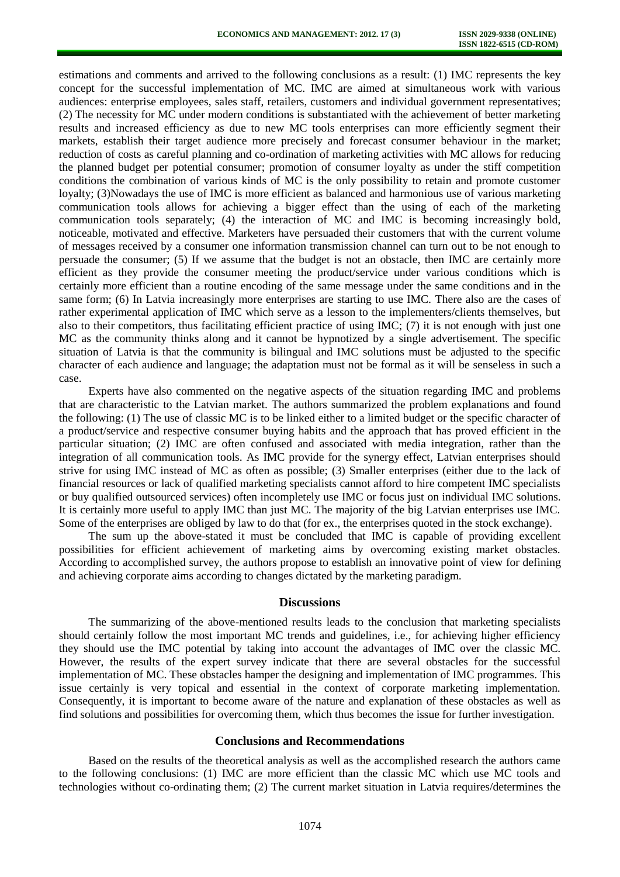estimations and comments and arrived to the following conclusions as a result: (1) IMC represents the key concept for the successful implementation of MC. IMC are aimed at simultaneous work with various audiences: enterprise employees, sales staff, retailers, customers and individual government representatives; (2) The necessity for MC under modern conditions is substantiated with the achievement of better marketing results and increased efficiency as due to new MC tools enterprises can more efficiently segment their markets, establish their target audience more precisely and forecast consumer behaviour in the market; reduction of costs as careful planning and co-ordination of marketing activities with MC allows for reducing the planned budget per potential consumer; promotion of consumer loyalty as under the stiff competition conditions the combination of various kinds of MC is the only possibility to retain and promote customer loyalty; (3)Nowadays the use of IMC is more efficient as balanced and harmonious use of various marketing communication tools allows for achieving a bigger effect than the using of each of the marketing communication tools separately; (4) the interaction of MC and IMC is becoming increasingly bold, noticeable, motivated and effective. Marketers have persuaded their customers that with the current volume of messages received by a consumer one information transmission channel can turn out to be not enough to persuade the consumer; (5) If we assume that the budget is not an obstacle, then IMC are certainly more efficient as they provide the consumer meeting the product/service under various conditions which is certainly more efficient than a routine encoding of the same message under the same conditions and in the same form; (6) In Latvia increasingly more enterprises are starting to use IMC. There also are the cases of rather experimental application of IMC which serve as a lesson to the implementers/clients themselves, but also to their competitors, thus facilitating efficient practice of using IMC; (7) it is not enough with just one MC as the community thinks along and it cannot be hypnotized by a single advertisement. The specific situation of Latvia is that the community is bilingual and IMC solutions must be adjusted to the specific character of each audience and language; the adaptation must not be formal as it will be senseless in such a case.

Experts have also commented on the negative aspects of the situation regarding IMC and problems that are characteristic to the Latvian market. The authors summarized the problem explanations and found the following: (1) The use of classic MC is to be linked either to a limited budget or the specific character of a product/service and respective consumer buying habits and the approach that has proved efficient in the particular situation; (2) IMC are often confused and associated with media integration, rather than the integration of all communication tools. As IMC provide for the synergy effect, Latvian enterprises should strive for using IMC instead of MC as often as possible; (3) Smaller enterprises (either due to the lack of financial resources or lack of qualified marketing specialists cannot afford to hire competent IMC specialists or buy qualified outsourced services) often incompletely use IMC or focus just on individual IMC solutions. It is certainly more useful to apply IMC than just MC. The majority of the big Latvian enterprises use IMC. Some of the enterprises are obliged by law to do that (for ex., the enterprises quoted in the stock exchange).

The sum up the above-stated it must be concluded that IMC is capable of providing excellent possibilities for efficient achievement of marketing aims by overcoming existing market obstacles. According to accomplished survey, the authors propose to establish an innovative point of view for defining and achieving corporate aims according to changes dictated by the marketing paradigm.

#### **Discussions**

The summarizing of the above-mentioned results leads to the conclusion that marketing specialists should certainly follow the most important MC trends and guidelines, i.e., for achieving higher efficiency they should use the IMC potential by taking into account the advantages of IMC over the classic MC. However, the results of the expert survey indicate that there are several obstacles for the successful implementation of MC. These obstacles hamper the designing and implementation of IMC programmes. This issue certainly is very topical and essential in the context of corporate marketing implementation. Consequently, it is important to become aware of the nature and explanation of these obstacles as well as find solutions and possibilities for overcoming them, which thus becomes the issue for further investigation.

#### **Conclusions and Recommendations**

Based on the results of the theoretical analysis as well as the accomplished research the authors came to the following conclusions: (1) IMC are more efficient than the classic MC which use MC tools and technologies without co-ordinating them; (2) The current market situation in Latvia requires/determines the